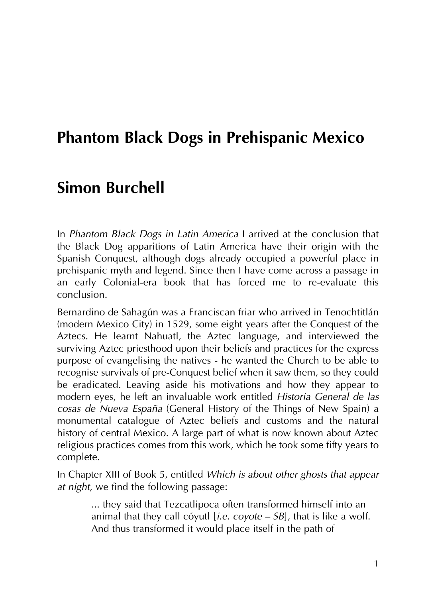# **Phantom Black Dogs in Prehispanic Mexico**

# **Simon Burchell**

In *Phantom Black Dogs in Latin America* I arrived at the conclusion that the Black Dog apparitions of Latin America have their origin with the Spanish Conquest, although dogs already occupied a powerful place in prehispanic myth and legend. Since then I have come across a passage in an early Colonial-era book that has forced me to re-evaluate this conclusion.

Bernardino de Sahagún was a Franciscan friar who arrived in Tenochtitlán (modern Mexico City) in 1529, some eight years after the Conquest of the Aztecs. He learnt Nahuatl, the Aztec language, and interviewed the surviving Aztec priesthood upon their beliefs and practices for the express purpose of evangelising the natives - he wanted the Church to be able to recognise survivals of pre-Conquest belief when it saw them, so they could be eradicated. Leaving aside his motivations and how they appear to modern eyes, he left an invaluable work entitled *Historia General de las cosas de Nueva España* (General History of the Things of New Spain) a monumental catalogue of Aztec beliefs and customs and the natural history of central Mexico. A large part of what is now known about Aztec religious practices comes from this work, which he took some fifty years to complete.

In Chapter XIII of Book 5, entitled *Which is about other ghosts that appear at night*, we find the following passage:

> ... they said that Tezcatlipoca often transformed himself into an animal that they call cóyutl [*i.e. coyote – SB*], that is like a wolf. And thus transformed it would place itself in the path of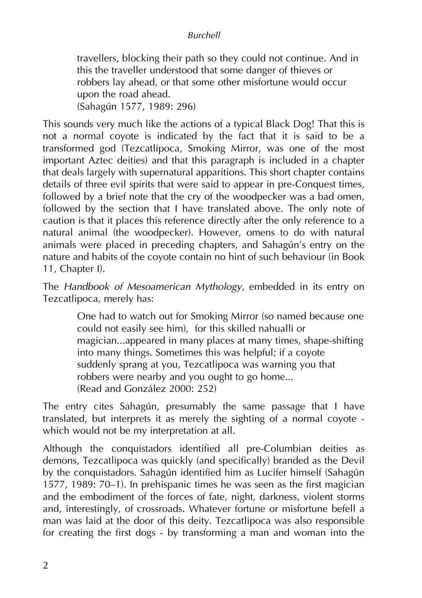## *Burchell*

travellers, blocking their path so they could not continue. And in this the traveller understood that some danger of thieves or robbers lay ahead, or that some other misfortune would occur upon the road ahead. (Sahagún 1577, 1989: 296)

This sounds very much like the actions of a typical Black Dog! That this is not a normal coyote is indicated by the fact that it is said to be a transformed god (Tezcatlipoca, Smoking Mirror, was one of the most important Aztec deities) and that this paragraph is included in a chapter that deals largely with supernatural apparitions. This short chapter contains details of three evil spirits that were said to appear in pre-Conquest times, followed by a brief note that the cry of the woodpecker was a bad omen, followed by the section that I have translated above. The only note of caution is that it places this reference directly after the only reference to a natural animal (the woodpecker). However, omens to do with natural animals were placed in preceding chapters, and Sahagún's entry on the nature and habits of the coyote contain no hint of such behaviour (in Book 11, Chapter I).

The *Handbook of Mesoamerican Mythology*, embedded in its entry on Tezcatlipoca, merely has:

> One had to watch out for Smoking Mirror (so named because one could not easily see him), for this skilled nahualli or magician...appeared in many places at many times, shape-shifting into many things. Sometimes this was helpful; if a coyote suddenly sprang at you, Tezcatlipoca was warning you that robbers were nearby and you ought to go home... (Read and González 2000: 252)

The entry cites Sahagún, presumably the same passage that I have translated, but interprets it as merely the sighting of a normal coyote which would not be my interpretation at all.

Although the conquistadors identified all pre-Columbian deities as demons, Tezcatlipoca was quickly (and specifically) branded as the Devil by the conquistadors. Sahagún identified him as Lucifer himself (Sahagún 1577, 1989: 70–1). In prehispanic times he was seen as the first magician and the embodiment of the forces of fate, night, darkness, violent storms and, interestingly, of crossroads. Whatever fortune or misfortune befell a man was laid at the door of this deity. Tezcatlipoca was also responsible for creating the first dogs - by transforming a man and woman into the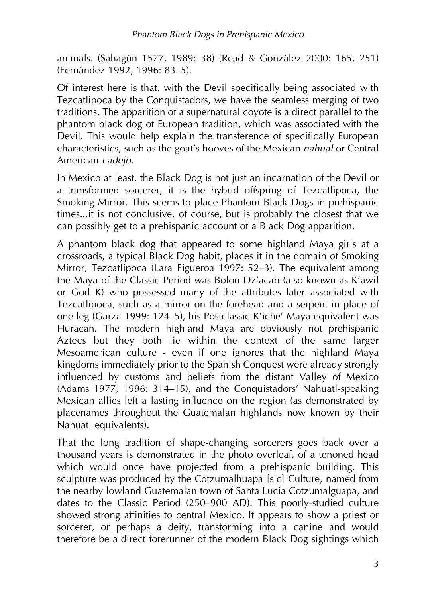animals. (Sahagún 1577, 1989: 38) (Read & González 2000: 165, 251) (Fernández 1992, 1996: 83–5).

Of interest here is that, with the Devil specifically being associated with Tezcatlipoca by the Conquistadors, we have the seamless merging of two traditions. The apparition of a supernatural coyote is a direct parallel to the phantom black dog of European tradition, which was associated with the Devil. This would help explain the transference of specifically European characteristics, such as the goat's hooves of the Mexican *nahual* or Central American *cadejo*.

In Mexico at least, the Black Dog is not just an incarnation of the Devil or a transformed sorcerer, it is the hybrid offspring of Tezcatlipoca, the Smoking Mirror. This seems to place Phantom Black Dogs in prehispanic times...it is not conclusive, of course, but is probably the closest that we can possibly get to a prehispanic account of a Black Dog apparition.

A phantom black dog that appeared to some highland Maya girls at a crossroads, a typical Black Dog habit, places it in the domain of Smoking Mirror, Tezcatlipoca (Lara Figueroa 1997: 52–3). The equivalent among the Maya of the Classic Period was Bolon Dz'acab (also known as K'awil or God K) who possessed many of the attributes later associated with Tezcatlipoca, such as a mirror on the forehead and a serpent in place of one leg (Garza 1999: 124–5), his Postclassic K'iche' Maya equivalent was Huracan. The modern highland Maya are obviously not prehispanic Aztecs but they both lie within the context of the same larger Mesoamerican culture - even if one ignores that the highland Maya kingdoms immediately prior to the Spanish Conquest were already strongly influenced by customs and beliefs from the distant Valley of Mexico (Adams 1977, 1996: 314–15), and the Conquistadors' Nahuatl-speaking Mexican allies left a lasting influence on the region (as demonstrated by placenames throughout the Guatemalan highlands now known by their Nahuatl equivalents).

That the long tradition of shape-changing sorcerers goes back over a thousand years is demonstrated in the photo overleaf, of a tenoned head which would once have projected from a prehispanic building. This sculpture was produced by the Cotzumalhuapa [sic] Culture, named from the nearby lowland Guatemalan town of Santa Lucia Cotzumalguapa, and dates to the Classic Period (250–900 AD). This poorly-studied culture showed strong affinities to central Mexico. It appears to show a priest or sorcerer, or perhaps a deity, transforming into a canine and would therefore be a direct forerunner of the modern Black Dog sightings which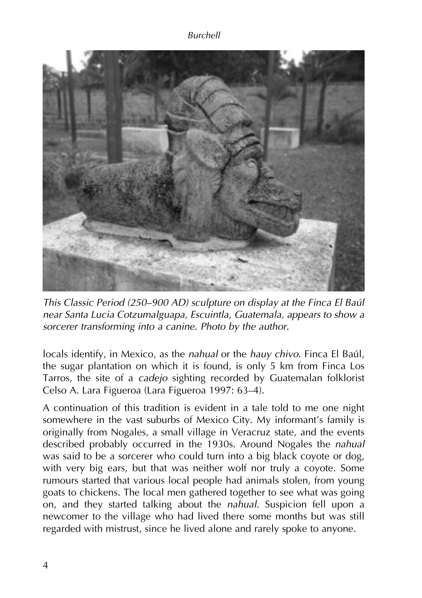

*This Classic Period (250–900 AD) sculpture on display at the Finca El Baúl near Santa Lucia Cotzumalguapa, Escuintla, Guatemala, appears to show a sorcerer transforming into a canine. Photo by the author.*

locals identify, in Mexico, as the *nahual* or the *hauy chivo*. Finca El Baúl, the sugar plantation on which it is found, is only 5 km from Finca Los Tarros, the site of a *cadejo* sighting recorded by Guatemalan folklorist Celso A. Lara Figueroa (Lara Figueroa 1997: 63–4).

A continuation of this tradition is evident in a tale told to me one night somewhere in the vast suburbs of Mexico City. My informant's family is originally from Nogales, a small village in Veracruz state, and the events described probably occurred in the 1930s. Around Nogales the *nahual* was said to be a sorcerer who could turn into a big black coyote or dog, with very big ears, but that was neither wolf nor truly a coyote. Some rumours started that various local people had animals stolen, from young goats to chickens. The local men gathered together to see what was going on, and they started talking about the *nahual*. Suspicion fell upon a newcomer to the village who had lived there some months but was still regarded with mistrust, since he lived alone and rarely spoke to anyone.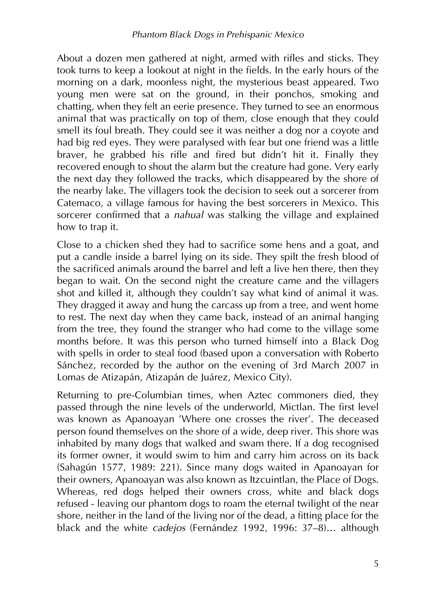About a dozen men gathered at night, armed with rifles and sticks. They took turns to keep a lookout at night in the fields. In the early hours of the morning on a dark, moonless night, the mysterious beast appeared. Two young men were sat on the ground, in their ponchos, smoking and chatting, when they felt an eerie presence. They turned to see an enormous animal that was practically on top of them, close enough that they could smell its foul breath. They could see it was neither a dog nor a coyote and had big red eyes. They were paralysed with fear but one friend was a little braver, he grabbed his rifle and fired but didn't hit it. Finally they recovered enough to shout the alarm but the creature had gone. Very early the next day they followed the tracks, which disappeared by the shore of the nearby lake. The villagers took the decision to seek out a sorcerer from Catemaco, a village famous for having the best sorcerers in Mexico. This sorcerer confirmed that a *nahual* was stalking the village and explained how to trap it.

Close to a chicken shed they had to sacrifice some hens and a goat, and put a candle inside a barrel lying on its side. They spilt the fresh blood of the sacrificed animals around the barrel and left a live hen there, then they began to wait. On the second night the creature came and the villagers shot and killed it, although they couldn't say what kind of animal it was. They dragged it away and hung the carcass up from a tree, and went home to rest. The next day when they came back, instead of an animal hanging from the tree, they found the stranger who had come to the village some months before. It was this person who turned himself into a Black Dog with spells in order to steal food (based upon a conversation with Roberto Sánchez, recorded by the author on the evening of 3rd March 2007 in Lomas de Atizapán, Atizapán de Juárez, Mexico City).

Returning to pre-Columbian times, when Aztec commoners died, they passed through the nine levels of the underworld, Mictlan. The first level was known as Apanoayan 'Where one crosses the river'. The deceased person found themselves on the shore of a wide, deep river. This shore was inhabited by many dogs that walked and swam there. If a dog recognised its former owner, it would swim to him and carry him across on its back (Sahagún 1577, 1989: 221). Since many dogs waited in Apanoayan for their owners, Apanoayan was also known as Itzcuintlan, the Place of Dogs. Whereas, red dogs helped their owners cross, white and black dogs refused - leaving our phantom dogs to roam the eternal twilight of the near shore, neither in the land of the living nor of the dead, a fitting place for the black and the white *cadejos* (Fernández 1992, 1996: 37–8)… although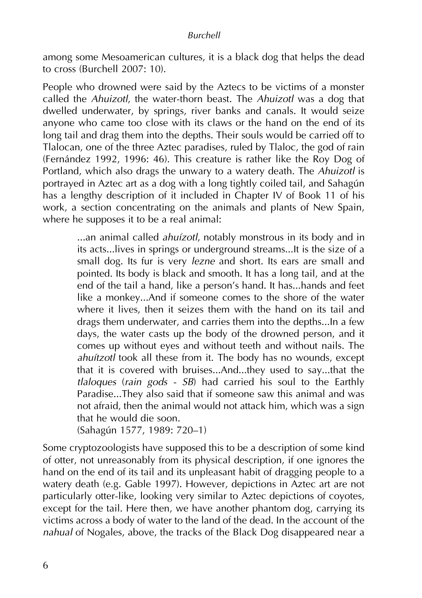#### *Burchell*

among some Mesoamerican cultures, it is a black dog that helps the dead to cross (Burchell 2007: 10).

People who drowned were said by the Aztecs to be victims of a monster called the *Ahuizotl*, the water-thorn beast. The *Ahuizotl* was a dog that dwelled underwater, by springs, river banks and canals. It would seize anyone who came too close with its claws or the hand on the end of its long tail and drag them into the depths. Their souls would be carried off to Tlalocan, one of the three Aztec paradises, ruled by Tlaloc, the god of rain (Fernández 1992, 1996: 46). This creature is rather like the Roy Dog of Portland, which also drags the unwary to a watery death. The *Ahuizotl* is portrayed in Aztec art as a dog with a long tightly coiled tail, and Sahagún has a lengthy description of it included in Chapter IV of Book 11 of his work, a section concentrating on the animals and plants of New Spain, where he supposes it to be a real animal:

> ...an animal called *ahuízotl*, notably monstrous in its body and in its acts...lives in springs or underground streams...It is the size of a small dog. Its fur is very *lezne* and short. Its ears are small and pointed. Its body is black and smooth. It has a long tail, and at the end of the tail a hand, like a person's hand. It has...hands and feet like a monkey...And if someone comes to the shore of the water where it lives, then it seizes them with the hand on its tail and drags them underwater, and carries them into the depths...In a few days, the water casts up the body of the drowned person, and it comes up without eyes and without teeth and without nails. The *ahuítzotl* took all these from it. The body has no wounds, except that it is covered with bruises...And...they used to say...that the *tlaloques* (*rain gods - SB*) had carried his soul to the Earthly Paradise...They also said that if someone saw this animal and was not afraid, then the animal would not attack him, which was a sign that he would die soon.

(Sahagún 1577, 1989: 720–1)

Some cryptozoologists have supposed this to be a description of some kind of otter, not unreasonably from its physical description, if one ignores the hand on the end of its tail and its unpleasant habit of dragging people to a watery death (e.g. Gable 1997). However, depictions in Aztec art are not particularly otter-like, looking very similar to Aztec depictions of coyotes, except for the tail. Here then, we have another phantom dog, carrying its victims across a body of water to the land of the dead. In the account of the *nahual* of Nogales, above, the tracks of the Black Dog disappeared near a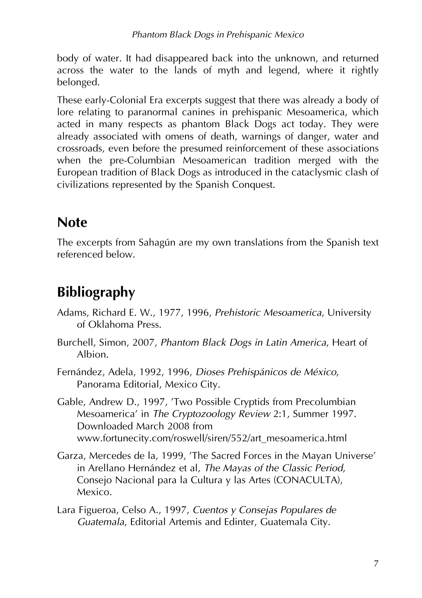body of water. It had disappeared back into the unknown, and returned across the water to the lands of myth and legend, where it rightly belonged.

These early-Colonial Era excerpts suggest that there was already a body of lore relating to paranormal canines in prehispanic Mesoamerica, which acted in many respects as phantom Black Dogs act today. They were already associated with omens of death, warnings of danger, water and crossroads, even before the presumed reinforcement of these associations when the pre-Columbian Mesoamerican tradition merged with the European tradition of Black Dogs as introduced in the cataclysmic clash of civilizations represented by the Spanish Conquest.

# **Note**

The excerpts from Sahagún are my own translations from the Spanish text referenced below.

# **Bibliography**

- Adams, Richard E. W., 1977, 1996, *Prehistoric Mesoamerica*, University of Oklahoma Press.
- Burchell, Simon, 2007, *Phantom Black Dogs in Latin America*, Heart of Albion.
- Fernández, Adela, 1992, 1996, *Dioses Prehispánicos de México*, Panorama Editorial, Mexico City.
- Gable, Andrew D., 1997, 'Two Possible Cryptids from Precolumbian Mesoamerica' in *The Cryptozoology Review* 2:1, Summer 1997. Downloaded March 2008 from www.fortunecity.com/roswell/siren/552/art\_mesoamerica.html
- Garza, Mercedes de la, 1999, 'The Sacred Forces in the Mayan Universe' in Arellano Hernández et al, *The Mayas of the Classic Period*, Consejo Nacional para la Cultura y las Artes (CONACULTA), Mexico.
- Lara Figueroa, Celso A., 1997, *Cuentos y Consejas Populares de Guatemala*, Editorial Artemis and Edinter, Guatemala City.